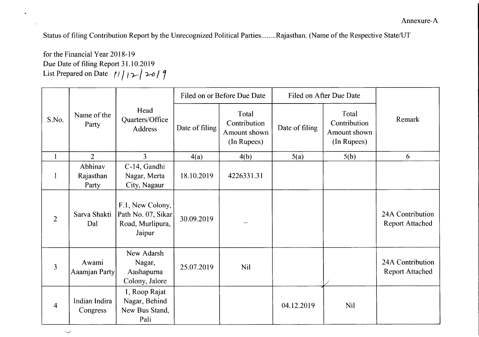Status of filing Contribution Report by the Unrecognized Political Parties........Rajasthan. (Name of the Respective State/UT

for the Financial Year 2018-19 Due Date of filing Report 31.10.2019 List Prepared on Date  $\binom{n}{1}$   $\rightarrow$   $\rightarrow$   $\binom{9}{1}$ 

بمبد

|                | Name of the<br>Party          | Head<br>Quarters/Office<br>Address                                   | Filed on or Before Due Date |                                                      | Filed on After Due Date |                                                      |                                            |
|----------------|-------------------------------|----------------------------------------------------------------------|-----------------------------|------------------------------------------------------|-------------------------|------------------------------------------------------|--------------------------------------------|
| S.No.          |                               |                                                                      | Date of filing              | Total<br>Contribution<br>Amount shown<br>(In Rupees) | Date of filing          | Total<br>Contribution<br>Amount shown<br>(In Rupees) | Remark                                     |
| $\mathbf{1}$   | $\overline{2}$                | $\overline{3}$                                                       | 4(a)                        | 4(b)                                                 | 5(a)                    | 5(b)                                                 | 6                                          |
| $\mathbf{1}$   | Abhinav<br>Rajasthan<br>Party | C-14, Gandhi<br>Nagar, Merta<br>City, Nagaur                         | 18.10.2019                  | 4226331.31                                           |                         |                                                      |                                            |
| $\overline{2}$ | Sarva Shakti<br>Dal           | F.1, New Colony,<br>Path No. 07, Sikar<br>Road, Murlipura,<br>Jaipur | 30.09.2019                  |                                                      |                         |                                                      | 24A Contribution<br><b>Report Attached</b> |
| $\overline{3}$ | Awami<br>Aaamjan Party        | New Adarsh<br>Nagar,<br>Aashapurna<br>Colony, Jalore                 | 25.07.2019                  | <b>Nil</b>                                           |                         |                                                      | 24A Contribution<br><b>Report Attached</b> |
| $\overline{4}$ | Indian Indira<br>Congress     | 1, Roop Rajat<br>Nagar, Behind<br>New Bus Stand,<br>Pali             |                             |                                                      | 04.12.2019              | <b>Nil</b>                                           |                                            |